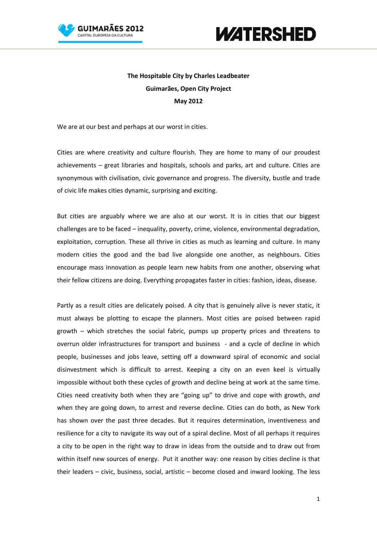



## **The Hospitable City by Charles Leadbeater Guimarães, Open City Project May 2012**

We are at our best and perhaps at our worst in cities.

Cities are where creativity and culture flourish. They are home to many of our proudest achievements – great libraries and hospitals, schools and parks, art and culture. Cities are synonymous with civilisation, civic governance and progress. The diversity, bustle and trade of civic life makes cities dynamic, surprising and exciting.

But cities are arguably where we are also at our worst. It is in cities that our biggest challenges are to be faced – inequality, poverty, crime, violence, environmental degradation, exploitation, corruption. These all thrive in cities as much as learning and culture. In many modern cities the good and the bad live alongside one another, as neighbours. Cities encourage mass innovation as people learn new habits from one another, observing what their fellow citizens are doing. Everything propagates faster in cities: fashion, ideas, disease.

Partly as a result cities are delicately poised. A city that is genuinely alive is never static, it must always be plotting to escape the planners. Most cities are poised between rapid growth – which stretches the social fabric, pumps up property prices and threatens to overrun older infrastructures for transport and business - and a cycle of decline in which people, businesses and jobs leave, setting off a downward spiral of economic and social disinvestment which is difficult to arrest. Keeping a city on an even keel is virtually impossible without both these cycles of growth and decline being at work at the same time. Cities need creativity both when they are "going up" to drive and cope with growth, *and*  when they are going down, to arrest and reverse decline. Cities can do both, as New York has shown over the past three decades. But it requires determination, inventiveness and resilience for a city to navigate its way out of a spiral decline. Most of all perhaps it requires a city to be open in the right way to draw in ideas from the outside and to draw out from within itself new sources of energy. Put it another way: one reason by cities decline is that their leaders – civic, business, social, artistic – become closed and inward looking. The less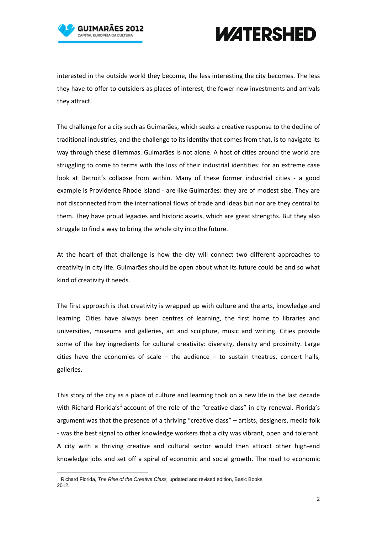



interested in the outside world they become, the less interesting the city becomes. The less they have to offer to outsiders as places of interest, the fewer new investments and arrivals they attract.

The challenge for a city such as Guimarães, which seeks a creative response to the decline of traditional industries, and the challenge to its identity that comes from that, is to navigate its way through these dilemmas. Guimarães is not alone. A host of cities around the world are struggling to come to terms with the loss of their industrial identities: for an extreme case look at Detroit's collapse from within. Many of these former industrial cities - a good example is Providence Rhode Island - are like Guimarães: they are of modest size. They are not disconnected from the international flows of trade and ideas but nor are they central to them. They have proud legacies and historic assets, which are great strengths. But they also struggle to find a way to bring the whole city into the future.

At the heart of that challenge is how the city will connect two different approaches to creativity in city life. Guimarães should be open about what its future could be and so what kind of creativity it needs.

The first approach is that creativity is wrapped up with culture and the arts, knowledge and learning. Cities have always been centres of learning, the first home to libraries and universities, museums and galleries, art and sculpture, music and writing. Cities provide some of the key ingredients for cultural creativity: diversity, density and proximity. Large cities have the economies of scale  $-$  the audience  $-$  to sustain theatres, concert halls, galleries.

This story of the city as a place of culture and learning took on a new life in the last decade with Richard Florida's<sup>[1](#page-1-0)</sup> account of the role of the "creative class" in city renewal. Florida's argument was that the presence of a thriving "creative class" – artists, designers, media folk - was the best signal to other knowledge workers that a city was vibrant, open and tolerant. A city with a thriving creative and cultural sector would then attract other high-end knowledge jobs and set off a spiral of economic and social growth. The road to economic

<span id="page-1-0"></span><sup>1</sup> Richard Florida, *The Rise of the Creative Class,* updated and revised edition, Basic Books, 2012.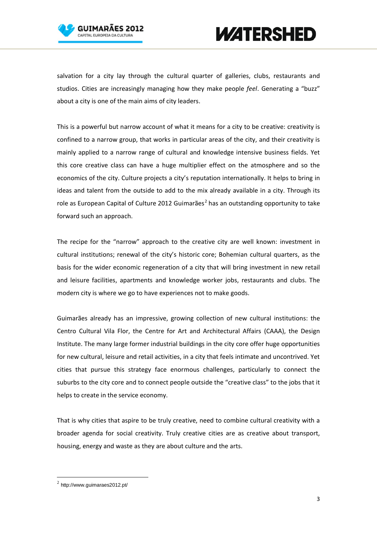



salvation for a city lay through the cultural quarter of galleries, clubs, restaurants and studios. Cities are increasingly managing how they make people *feel*. Generating a "buzz" about a city is one of the main aims of city leaders.

This is a powerful but narrow account of what it means for a city to be creative: creativity is confined to a narrow group, that works in particular areas of the city, and their creativity is mainly applied to a narrow range of cultural and knowledge intensive business fields. Yet this core creative class can have a huge multiplier effect on the atmosphere and so the economics of the city. Culture projects a city's reputation internationally. It helps to bring in ideas and talent from the outside to add to the mix already available in a city. Through its role as European Capital of Culture [2](#page-2-0)012 Guimarães<sup>2</sup> has an outstanding opportunity to take forward such an approach.

The recipe for the "narrow" approach to the creative city are well known: investment in cultural institutions; renewal of the city's historic core; Bohemian cultural quarters, as the basis for the wider economic regeneration of a city that will bring investment in new retail and leisure facilities, apartments and knowledge worker jobs, restaurants and clubs. The modern city is where we go to have experiences not to make goods.

Guimarães already has an impressive, growing collection of new cultural institutions: the Centro Cultural Vila Flor, the Centre for Art and Architectural Affairs (CAAA), the Design Institute. The many large former industrial buildings in the city core offer huge opportunities for new cultural, leisure and retail activities, in a city that feels intimate and uncontrived. Yet cities that pursue this strategy face enormous challenges, particularly to connect the suburbs to the city core and to connect people outside the "creative class" to the jobs that it helps to create in the service economy.

That is why cities that aspire to be truly creative, need to combine cultural creativity with a broader agenda for social creativity. Truly creative cities are as creative about transport, housing, energy and waste as they are about culture and the arts.

<span id="page-2-0"></span> $<sup>2</sup>$  http://www.guimaraes2012.pt/</sup>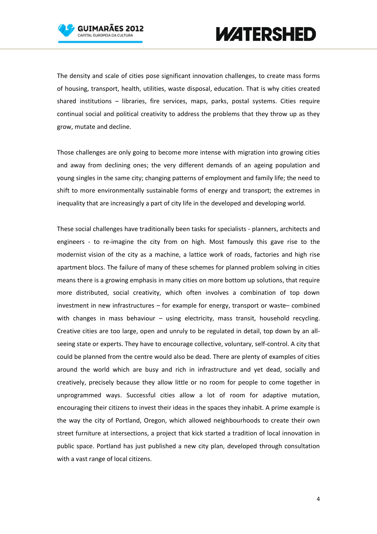



The density and scale of cities pose significant innovation challenges, to create mass forms of housing, transport, health, utilities, waste disposal, education. That is why cities created shared institutions – libraries, fire services, maps, parks, postal systems. Cities require continual social and political creativity to address the problems that they throw up as they grow, mutate and decline.

Those challenges are only going to become more intense with migration into growing cities and away from declining ones; the very different demands of an ageing population and young singles in the same city; changing patterns of employment and family life; the need to shift to more environmentally sustainable forms of energy and transport; the extremes in inequality that are increasingly a part of city life in the developed and developing world.

These social challenges have traditionally been tasks for specialists - planners, architects and engineers - to re-imagine the city from on high. Most famously this gave rise to the modernist vision of the city as a machine, a lattice work of roads, factories and high rise apartment blocs. The failure of many of these schemes for planned problem solving in cities means there is a growing emphasis in many cities on more bottom up solutions, that require more distributed, social creativity, which often involves a combination of top down investment in new infrastructures – for example for energy, transport or waste– combined with changes in mass behaviour – using electricity, mass transit, household recycling. Creative cities are too large, open and unruly to be regulated in detail, top down by an allseeing state or experts. They have to encourage collective, voluntary, self-control. A city that could be planned from the centre would also be dead. There are plenty of examples of cities around the world which are busy and rich in infrastructure and yet dead, socially and creatively, precisely because they allow little or no room for people to come together in unprogrammed ways. Successful cities allow a lot of room for adaptive mutation, encouraging their citizens to invest their ideas in the spaces they inhabit. A prime example is the way the city of Portland, Oregon, which allowed neighbourhoods to create their own street furniture at intersections, a project that kick started a tradition of local innovation in public space. Portland has just published a new city plan, developed through consultation with a vast range of local citizens.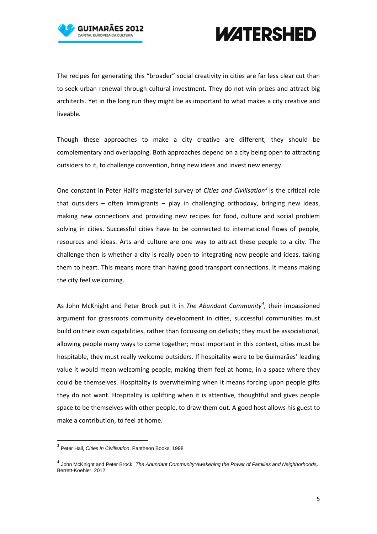



The recipes for generating this "broader" social creativity in cities are far less clear cut than to seek urban renewal through cultural investment. They do not win prizes and attract big architects. Yet in the long run they might be as important to what makes a city creative and liveable.

Though these approaches to make a city creative are different, they should be complementary and overlapping. Both approaches depend on a city being open to attracting outsiders to it, to challenge convention, bring new ideas and invest new energy.

One constant in Peter Hall's magisterial survey of *Cities and Civilisation[3](#page-4-0)* is the critical role that outsiders – often immigrants – play in challenging orthodoxy, bringing new ideas, making new connections and providing new recipes for food, culture and social problem solving in cities. Successful cities have to be connected to international flows of people, resources and ideas. Arts and culture are one way to attract these people to a city. The challenge then is whether a city is really open to integrating new people and ideas, taking them to heart. This means more than having good transport connections. It means making the city feel welcoming.

As John McKnight and Peter Brock put it in *The Abundant Community[4](#page-4-1) ,* their impassioned argument for grassroots community development in cities, successful communities must build on their own capabilities, rather than focussing on deficits; they must be associational, allowing people many ways to come together; most important in this context, cities must be hospitable, they must really welcome outsiders. If hospitality were to be Guimarães' leading value it would mean welcoming people, making them feel at home, in a space where they could be themselves. Hospitality is overwhelming when it means forcing upon people gifts they do not want. Hospitality is uplifting when it is attentive, thoughtful and gives people space to be themselves with other people, to draw them out. A good host allows his guest to make a contribution, to feel at home.

<span id="page-4-0"></span> <sup>3</sup> Peter Hall, *Cities in Civilisation*, Pantheon Books, 1998

<span id="page-4-1"></span><sup>4</sup> John McKnight and Peter Brock, *[The Abundant Community:Awakening the Power of Families and Neighborhoods](http://www.bkconnection.com/ProdDetails.asp?ID=9781605095844),* Berrett-Koehler, 2012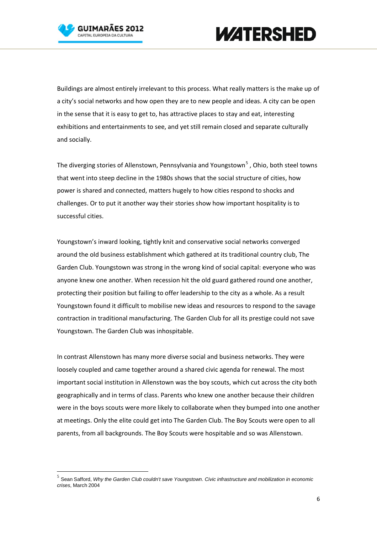



Buildings are almost entirely irrelevant to this process. What really matters is the make up of a city's social networks and how open they are to new people and ideas. A city can be open in the sense that it is easy to get to, has attractive places to stay and eat, interesting exhibitions and entertainments to see, and yet still remain closed and separate culturally and socially.

The diverging stories of Allenstown, Pennsylvania and Youngstown<sup>[5](#page-5-0)</sup>, Ohio, both steel towns that went into steep decline in the 1980s shows that the social structure of cities, how power is shared and connected, matters hugely to how cities respond to shocks and challenges. Or to put it another way their stories show how important hospitality is to successful cities.

Youngstown's inward looking, tightly knit and conservative social networks converged around the old business establishment which gathered at its traditional country club, The Garden Club. Youngstown was strong in the wrong kind of social capital: everyone who was anyone knew one another. When recession hit the old guard gathered round one another, protecting their position but failing to offer leadership to the city as a whole. As a result Youngstown found it difficult to mobilise new ideas and resources to respond to the savage contraction in traditional manufacturing. The Garden Club for all its prestige could not save Youngstown. The Garden Club was inhospitable.

In contrast Allenstown has many more diverse social and business networks. They were loosely coupled and came together around a shared civic agenda for renewal. The most important social institution in Allenstown was the boy scouts, which cut across the city both geographically and in terms of class. Parents who knew one another because their children were in the boys scouts were more likely to collaborate when they bumped into one another at meetings. Only the elite could get into The Garden Club. The Boy Scouts were open to all parents, from all backgrounds. The Boy Scouts were hospitable and so was Allenstown.

<span id="page-5-0"></span> <sup>5</sup> Sean Safford, *Why the Garden Club couldn't save Youngstown. Civic infrastructure and mobilization in economic crises*, March 2004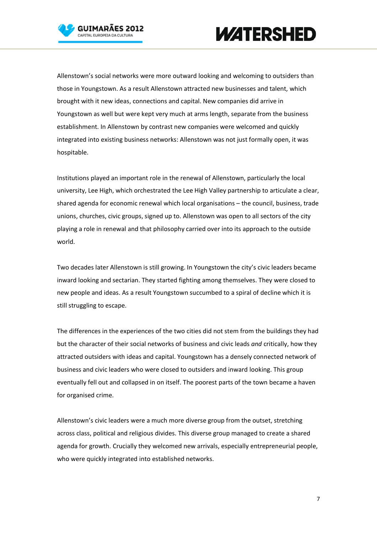



Allenstown's social networks were more outward looking and welcoming to outsiders than those in Youngstown. As a result Allenstown attracted new businesses and talent, which brought with it new ideas, connections and capital. New companies did arrive in Youngstown as well but were kept very much at arms length, separate from the business establishment. In Allenstown by contrast new companies were welcomed and quickly integrated into existing business networks: Allenstown was not just formally open, it was hospitable.

Institutions played an important role in the renewal of Allenstown, particularly the local university, Lee High, which orchestrated the Lee High Valley partnership to articulate a clear, shared agenda for economic renewal which local organisations – the council, business, trade unions, churches, civic groups, signed up to. Allenstown was open to all sectors of the city playing a role in renewal and that philosophy carried over into its approach to the outside world.

Two decades later Allenstown is still growing. In Youngstown the city's civic leaders became inward looking and sectarian. They started fighting among themselves. They were closed to new people and ideas. As a result Youngstown succumbed to a spiral of decline which it is still struggling to escape.

The differences in the experiences of the two cities did not stem from the buildings they had but the character of their social networks of business and civic leads *and* critically, how they attracted outsiders with ideas and capital. Youngstown has a densely connected network of business and civic leaders who were closed to outsiders and inward looking. This group eventually fell out and collapsed in on itself. The poorest parts of the town became a haven for organised crime.

Allenstown's civic leaders were a much more diverse group from the outset, stretching across class, political and religious divides. This diverse group managed to create a shared agenda for growth. Crucially they welcomed new arrivals, especially entrepreneurial people, who were quickly integrated into established networks.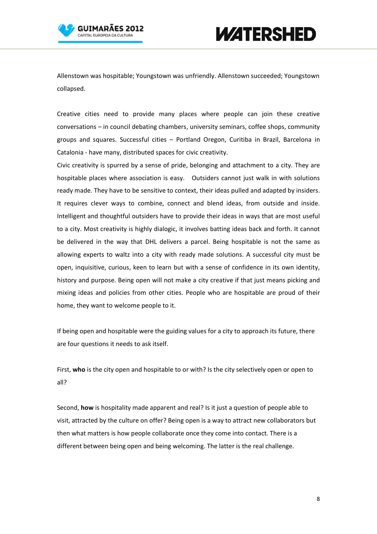

Allenstown was hospitable; Youngstown was unfriendly. Allenstown succeeded; Youngstown collapsed.

Creative cities need to provide many places where people can join these creative conversations – in council debating chambers, university seminars, coffee shops, community groups and squares. Successful cities – Portland Oregon, Curitiba in Brazil, Barcelona in Catalonia - have many, distributed spaces for civic creativity.

Civic creativity is spurred by a sense of pride, belonging and attachment to a city. They are hospitable places where association is easy. Outsiders cannot just walk in with solutions ready made. They have to be sensitive to context, their ideas pulled and adapted by insiders. It requires clever ways to combine, connect and blend ideas, from outside and inside. Intelligent and thoughtful outsiders have to provide their ideas in ways that are most useful to a city. Most creativity is highly dialogic, it involves batting ideas back and forth. It cannot be delivered in the way that DHL delivers a parcel. Being hospitable is not the same as allowing experts to waltz into a city with ready made solutions. A successful city must be open, inquisitive, curious, keen to learn but with a sense of confidence in its own identity, history and purpose. Being open will not make a city creative if that just means picking and mixing ideas and policies from other cities. People who are hospitable are proud of their home, they want to welcome people to it.

If being open and hospitable were the guiding values for a city to approach its future, there are four questions it needs to ask itself.

First, **who** is the city open and hospitable to or with? Is the city selectively open or open to all?

Second, **how** is hospitality made apparent and real? Is it just a question of people able to visit, attracted by the culture on offer? Being open is a way to attract new collaborators but then what matters is how people collaborate once they come into contact. There is a different between being open and being welcoming. The latter is the real challenge.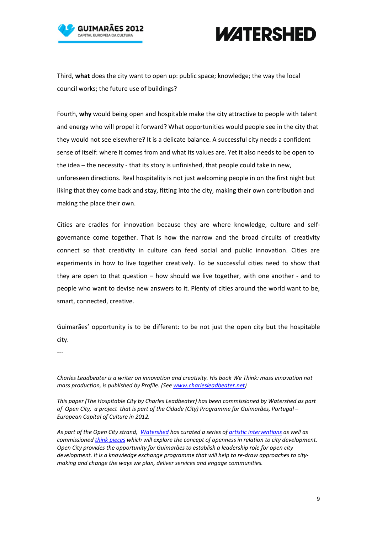

## **WATERSHED**

Third, **what** does the city want to open up: public space; knowledge; the way the local council works; the future use of buildings?

Fourth, **why** would being open and hospitable make the city attractive to people with talent and energy who will propel it forward? What opportunities would people see in the city that they would not see elsewhere? It is a delicate balance. A successful city needs a confident sense of itself: where it comes from and what its values are. Yet it also needs to be open to the idea – the necessity - that its story is unfinished, that people could take in new, unforeseen directions. Real hospitality is not just welcoming people in on the first night but liking that they come back and stay, fitting into the city, making their own contribution and making the place their own.

Cities are cradles for innovation because they are where knowledge, culture and selfgovernance come together. That is how the narrow and the broad circuits of creativity connect so that creativity in culture can feed social and public innovation. Cities are experiments in how to live together creatively. To be successful cities need to show that they are open to that question – how should we live together, with one another - and to people who want to devise new answers to it. Plenty of cities around the world want to be, smart, connected, creative.

Guimarães' opportunity is to be different: to be not just the open city but the hospitable city.

---

*Charles Leadbeater is a writer on innovation and creativity. His book We Think: mass innovation not mass production, is published by Profile. (See [www.charlesleadbeater.net\)](http://www.charlesleadbeater.net/)*

*This paper (The Hospitable City by Charles Leadbeater) has been commissioned by Watershed as part of Open City, a project that is part of the Cidade (City) Programme for Guimarães, Portugal – European Capital of Culture in 2012.* 

*As part of the Open City strand, [Watershed](http://www.watershed.co.uk/) has curated a series o[f artistic interventions](http://watershed.co.uk/opencity/category/commissions/) as well as commissioned [think pieces](http://watershed.co.uk/opencity/category/think-pieces/) which will explore the concept of openness in relation to city development. Open City provides the opportunity for Guimarães to establish a leadership role for open city development. It is a knowledge exchange programme that will help to re-draw approaches to citymaking and change the ways we plan, deliver services and engage communities.*